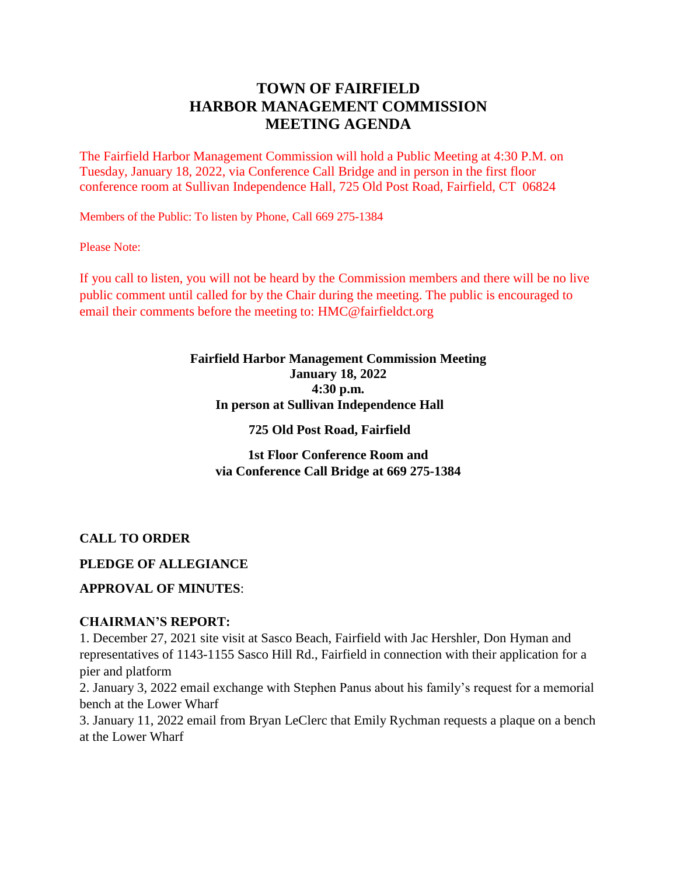# **TOWN OF FAIRFIELD HARBOR MANAGEMENT COMMISSION MEETING AGENDA**

The Fairfield Harbor Management Commission will hold a Public Meeting at 4:30 P.M. on Tuesday, January 18, 2022, via Conference Call Bridge and in person in the first floor conference room at Sullivan Independence Hall, 725 Old Post Road, Fairfield, CT 06824

Members of the Public: To listen by Phone, Call 669 275-1384

Please Note:

If you call to listen, you will not be heard by the Commission members and there will be no live public comment until called for by the Chair during the meeting. The public is encouraged to email their comments before the meeting to: HMC@fairfieldct.org

### **Fairfield Harbor Management Commission Meeting January 18, 2022 4:30 p.m. In person at Sullivan Independence Hall**

#### **725 Old Post Road, Fairfield**

**1st Floor Conference Room and via Conference Call Bridge at 669 275-1384**

### **CALL TO ORDER**

### **PLEDGE OF ALLEGIANCE**

### **APPROVAL OF MINUTES**:

#### **CHAIRMAN'S REPORT:**

1. December 27, 2021 site visit at Sasco Beach, Fairfield with Jac Hershler, Don Hyman and representatives of 1143-1155 Sasco Hill Rd., Fairfield in connection with their application for a pier and platform

2. January 3, 2022 email exchange with Stephen Panus about his family's request for a memorial bench at the Lower Wharf

3. January 11, 2022 email from Bryan LeClerc that Emily Rychman requests a plaque on a bench at the Lower Wharf